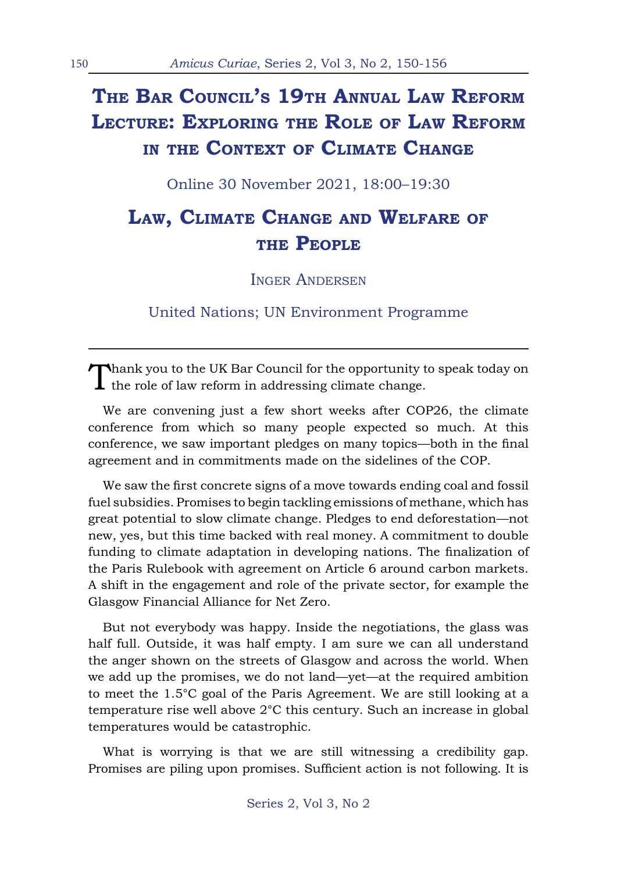# **The Bar Council's 19th Annual Law Reform Lecture: Exploring the Role of Law Reform in the Context of Climate Change**

Online 30 November 2021, 18:00–19:30

## **Law, Climate Change and Welfare of the People**

Inger Andersen

United Nations; UN Environment Programme

Thank you to the UK Bar Council for the opportunity to speak today on  $\mathbf I$  the role of law reform in addressing climate change.

We are convening just a few short weeks after COP26, the climate conference from which so many people expected so much. At this conference, we saw important pledges on many topics—both in the final agreement and in commitments made on the sidelines of the COP.

We saw the first concrete signs of a move towards ending coal and fossil fuel subsidies. Promises to begin tackling emissions of methane, which has great potential to slow climate change. Pledges to end deforestation—not new, yes, but this time backed with real money. A commitment to double funding to climate adaptation in developing nations. The finalization of the Paris Rulebook with agreement on Article 6 around carbon markets. A shift in the engagement and role of the private sector, for example the Glasgow Financial Alliance for Net Zero.

But not everybody was happy. Inside the negotiations, the glass was half full. Outside, it was half empty. I am sure we can all understand the anger shown on the streets of Glasgow and across the world. When we add up the promises, we do not land—yet—at the required ambition to meet the 1.5°C goal of the Paris Agreement. We are still looking at a temperature rise well above 2°C this century. Such an increase in global temperatures would be catastrophic.

What is worrying is that we are still witnessing a credibility gap. Promises are piling upon promises. Sufficient action is not following. It is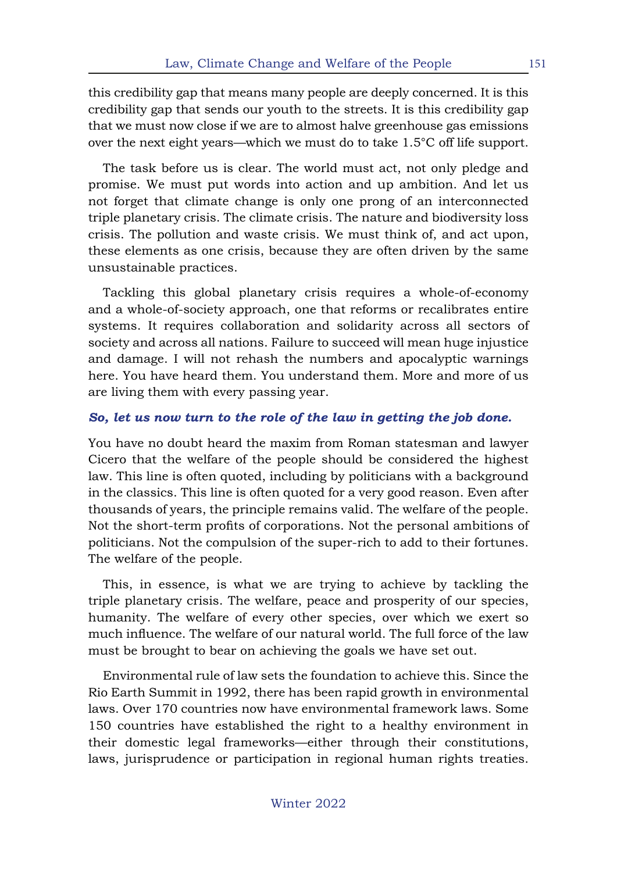this credibility gap that means many people are deeply concerned. It is this credibility gap that sends our youth to the streets. It is this credibility gap that we must now close if we are to almost halve greenhouse gas emissions over the next eight years—which we must do to take 1.5°C off life support.

The task before us is clear. The world must act, not only pledge and promise. We must put words into action and up ambition. And let us not forget that climate change is only one prong of an interconnected triple planetary crisis. The climate crisis. The nature and biodiversity loss crisis. The pollution and waste crisis. We must think of, and act upon, these elements as one crisis, because they are often driven by the same unsustainable practices.

Tackling this global planetary crisis requires a whole-of-economy and a whole-of-society approach, one that reforms or recalibrates entire systems. It requires collaboration and solidarity across all sectors of society and across all nations. Failure to succeed will mean huge injustice and damage. I will not rehash the numbers and apocalyptic warnings here. You have heard them. You understand them. More and more of us are living them with every passing year.

#### *So, let us now turn to the role of the law in getting the job done.*

You have no doubt heard the maxim from Roman statesman and lawyer Cicero that the welfare of the people should be considered the highest law. This line is often quoted, including by politicians with a background in the classics. This line is often quoted for a very good reason. Even after thousands of years, the principle remains valid. The welfare of the people. Not the short-term profits of corporations. Not the personal ambitions of politicians. Not the compulsion of the super-rich to add to their fortunes. The welfare of the people.

This, in essence, is what we are trying to achieve by tackling the triple planetary crisis. The welfare, peace and prosperity of our species, humanity. The welfare of every other species, over which we exert so much influence. The welfare of our natural world. The full force of the law must be brought to bear on achieving the goals we have set out.

Environmental rule of law sets the foundation to achieve this. Since the Rio Earth Summit in 1992, there has been rapid growth in environmental laws. Over 170 countries now have environmental framework laws. Some 150 countries have established the right to a healthy environment in their domestic legal frameworks—either through their constitutions, laws, jurisprudence or participation in regional human rights treaties.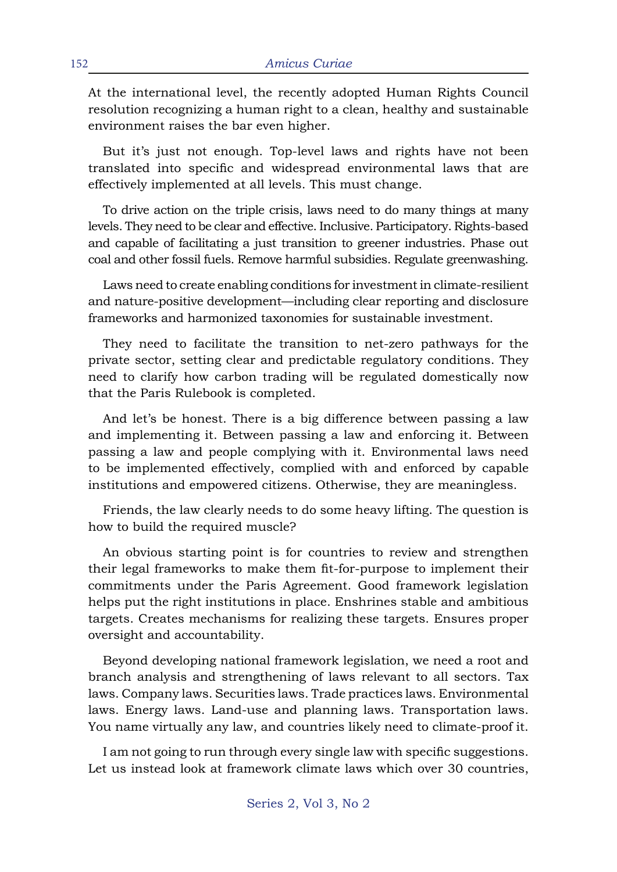At the international level, the recently adopted Human Rights Council resolution recognizing a human right to a clean, healthy and sustainable environment raises the bar even higher.

But it's just not enough. Top-level laws and rights have not been translated into specific and widespread environmental laws that are effectively implemented at all levels. This must change.

To drive action on the triple crisis, laws need to do many things at many levels. They need to be clear and effective. Inclusive. Participatory. Rights-based and capable of facilitating a just transition to greener industries. Phase out coal and other fossil fuels. Remove harmful subsidies. Regulate greenwashing.

Laws need to create enabling conditions for investment in climate-resilient and nature-positive development—including clear reporting and disclosure frameworks and harmonized taxonomies for sustainable investment.

They need to facilitate the transition to net-zero pathways for the private sector, setting clear and predictable regulatory conditions. They need to clarify how carbon trading will be regulated domestically now that the Paris Rulebook is completed.

And let's be honest. There is a big difference between passing a law and implementing it. Between passing a law and enforcing it. Between passing a law and people complying with it. Environmental laws need to be implemented effectively, complied with and enforced by capable institutions and empowered citizens. Otherwise, they are meaningless.

Friends, the law clearly needs to do some heavy lifting. The question is how to build the required muscle?

An obvious starting point is for countries to review and strengthen their legal frameworks to make them fit-for-purpose to implement their commitments under the Paris Agreement. Good framework legislation helps put the right institutions in place. Enshrines stable and ambitious targets. Creates mechanisms for realizing these targets. Ensures proper oversight and accountability.

Beyond developing national framework legislation, we need a root and branch analysis and strengthening of laws relevant to all sectors. Tax laws. Company laws. Securities laws. Trade practices laws. Environmental laws. Energy laws. Land-use and planning laws. Transportation laws. You name virtually any law, and countries likely need to climate-proof it.

I am not going to run through every single law with specific suggestions. Let us instead look at framework climate laws which over 30 countries,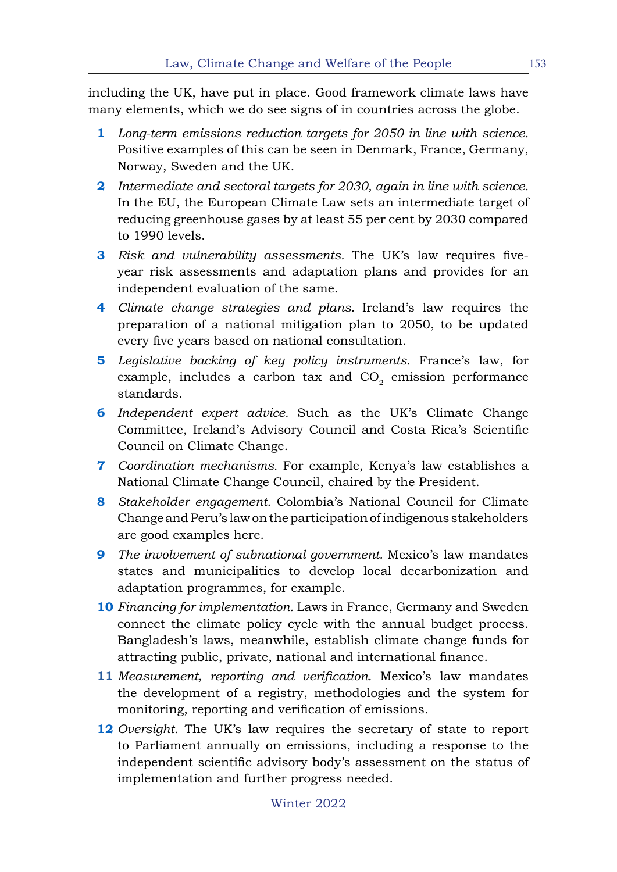including the UK, have put in place. Good framework climate laws have many elements, which we do see signs of in countries across the globe.

- **1** *Long-term emissions reduction targets for 2050 in line with science.*  Positive examples of this can be seen in Denmark, France, Germany, Norway, Sweden and the UK.
- **2** *Intermediate and sectoral targets for 2030, again in line with science.*  In the EU, the European Climate Law sets an intermediate target of reducing greenhouse gases by at least 55 per cent by 2030 compared to 1990 levels.
- **3** *Risk and vulnerability assessments.* The UK's law requires fiveyear risk assessments and adaptation plans and provides for an independent evaluation of the same.
- **4** *Climate change strategies and plans.* Ireland's law requires the preparation of a national mitigation plan to 2050, to be updated every five years based on national consultation.
- **5** *Legislative backing of key policy instruments.* France's law, for example, includes a carbon tax and  $CO<sub>2</sub>$  emission performance standards.
- **6** *Independent expert advice.* Such as the UK's Climate Change Committee, Ireland's Advisory Council and Costa Rica's Scientific Council on Climate Change.
- **7** *Coordination mechanisms.* For example, Kenya's law establishes a National Climate Change Council, chaired by the President.
- **8** *Stakeholder engagement.* Colombia's National Council for Climate Change and Peru's law on the participation of indigenous stakeholders are good examples here.
- **9** *The involvement of subnational government.* Mexico's law mandates states and municipalities to develop local decarbonization and adaptation programmes, for example.
- **10** *Financing for implementation.* Laws in France, Germany and Sweden connect the climate policy cycle with the annual budget process. Bangladesh's laws, meanwhile, establish climate change funds for attracting public, private, national and international finance.
- **11** *Measurement, reporting and verification.* Mexico's law mandates the development of a registry, methodologies and the system for monitoring, reporting and verification of emissions.
- **12** *Oversight.* The UK's law requires the secretary of state to report to Parliament annually on emissions, including a response to the independent scientific advisory body's assessment on the status of implementation and further progress needed.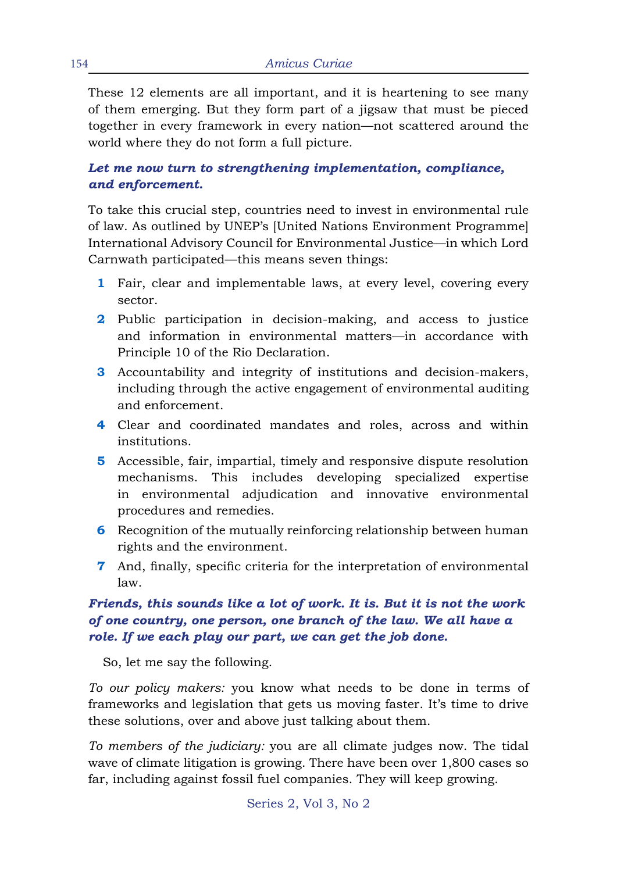These 12 elements are all important, and it is heartening to see many of them emerging. But they form part of a jigsaw that must be pieced together in every framework in every nation—not scattered around the world where they do not form a full picture.

### *Let me now turn to strengthening implementation, compliance, and enforcement.*

To take this crucial step, countries need to invest in environmental rule of law. As outlined by UNEP's [United Nations Environment Programme] International Advisory Council for Environmental Justice—in which Lord Carnwath participated—this means seven things:

- **1** Fair, clear and implementable laws, at every level, covering every sector.
- **2** Public participation in decision-making, and access to justice and information in environmental matters—in accordance with Principle 10 of the Rio Declaration.
- **3** Accountability and integrity of institutions and decision-makers, including through the active engagement of environmental auditing and enforcement.
- **4** Clear and coordinated mandates and roles, across and within institutions.
- **5** Accessible, fair, impartial, timely and responsive dispute resolution mechanisms. This includes developing specialized expertise in environmental adjudication and innovative environmental procedures and remedies.
- **6** Recognition of the mutually reinforcing relationship between human rights and the environment.
- **7** And, finally, specific criteria for the interpretation of environmental law.

## *Friends, this sounds like a lot of work. It is. But it is not the work of one country, one person, one branch of the law. We all have a role. If we each play our part, we can get the job done.*

So, let me say the following.

*To our policy makers:* you know what needs to be done in terms of frameworks and legislation that gets us moving faster. It's time to drive these solutions, over and above just talking about them.

*To members of the judiciary:* you are all climate judges now. The tidal wave of climate litigation is growing. There have been over 1,800 cases so far, including against fossil fuel companies. They will keep growing.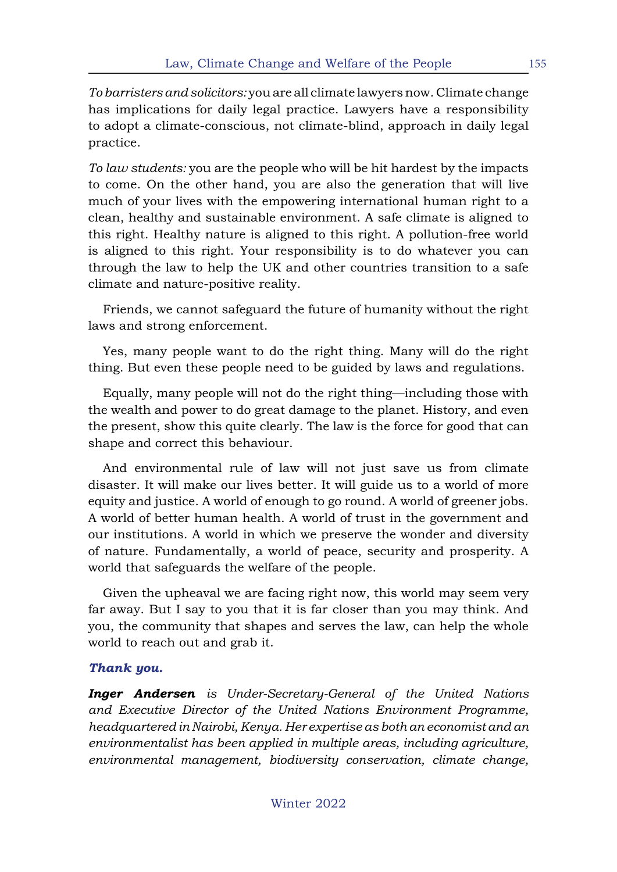*To barristers and solicitors:* you are all climate lawyers now. Climate change has implications for daily legal practice. Lawyers have a responsibility to adopt a climate-conscious, not climate-blind, approach in daily legal practice.

*To law students:* you are the people who will be hit hardest by the impacts to come. On the other hand, you are also the generation that will live much of your lives with the empowering international human right to a clean, healthy and sustainable environment. A safe climate is aligned to this right. Healthy nature is aligned to this right. A pollution-free world is aligned to this right. Your responsibility is to do whatever you can through the law to help the UK and other countries transition to a safe climate and nature-positive reality.

Friends, we cannot safeguard the future of humanity without the right laws and strong enforcement.

Yes, many people want to do the right thing. Many will do the right thing. But even these people need to be guided by laws and regulations.

Equally, many people will not do the right thing—including those with the wealth and power to do great damage to the planet. History, and even the present, show this quite clearly. The law is the force for good that can shape and correct this behaviour.

And environmental rule of law will not just save us from climate disaster. It will make our lives better. It will guide us to a world of more equity and justice. A world of enough to go round. A world of greener jobs. A world of better human health. A world of trust in the government and our institutions. A world in which we preserve the wonder and diversity of nature. Fundamentally, a world of peace, security and prosperity. A world that safeguards the welfare of the people.

Given the upheaval we are facing right now, this world may seem very far away. But I say to you that it is far closer than you may think. And you, the community that shapes and serves the law, can help the whole world to reach out and grab it.

#### *Thank you.*

*Inger Andersen is Under-Secretary-General of the United Nations and Executive Director of the United Nations Environment Programme, headquartered in Nairobi, Kenya. Her expertise as both an economist and an environmentalist has been applied in multiple areas, including agriculture, environmental management, biodiversity conservation, climate change,*